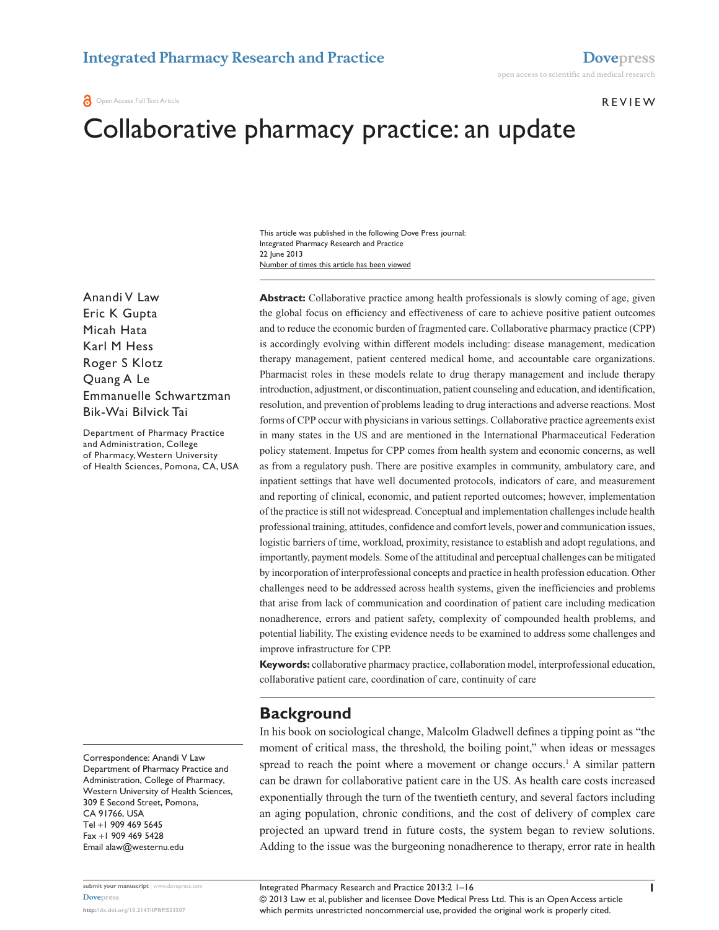#### **a** Open Access Full Text Article

#### **REVIEW**

# Collaborative pharmacy practice: an update

Number of times this article has been viewed This article was published in the following Dove Press journal: Integrated Pharmacy Research and Practice 22 June 2013

Anandi V Law Eric K Gupta Micah Hata Karl M Hess Roger S Klotz Quang A Le Emmanuelle Schwartzman Bik-Wai Bilvick Tai

Department of Pharmacy Practice and Administration, College of Pharmacy, Western University of Health Sciences, Pomona, CA, USA

Correspondence: Anandi V Law Department of Pharmacy Practice and Administration, College of Pharmacy, Western University of Health Sciences, 309 E Second Street, Pomona, CA 91766, USA Tel +1 909 469 5645 Fax +1 909 469 5428 Email [alaw@westernu.edu](mailto:alaw@westernu.edu)

**submit your manuscript** | <www.dovepress.com> **[Dovepress](www.dovepress.com) <http://dx.doi.org/10.2147/IPRP.S33507>**

**Abstract:** Collaborative practice among health professionals is slowly coming of age, given the global focus on efficiency and effectiveness of care to achieve positive patient outcomes and to reduce the economic burden of fragmented care. Collaborative pharmacy practice (CPP) is accordingly evolving within different models including: disease management, medication therapy management, patient centered medical home, and accountable care organizations. Pharmacist roles in these models relate to drug therapy management and include therapy introduction, adjustment, or discontinuation, patient counseling and education, and identification, resolution, and prevention of problems leading to drug interactions and adverse reactions. Most forms of CPP occur with physicians in various settings. Collaborative practice agreements exist in many states in the US and are mentioned in the International Pharmaceutical Federation policy statement. Impetus for CPP comes from health system and economic concerns, as well as from a regulatory push. There are positive examples in community, ambulatory care, and inpatient settings that have well documented protocols, indicators of care, and measurement and reporting of clinical, economic, and patient reported outcomes; however, implementation of the practice is still not widespread. Conceptual and implementation challenges include health professional training, attitudes, confidence and comfort levels, power and communication issues, logistic barriers of time, workload, proximity, resistance to establish and adopt regulations, and importantly, payment models. Some of the attitudinal and perceptual challenges can be mitigated by incorporation of interprofessional concepts and practice in health profession education. Other challenges need to be addressed across health systems, given the inefficiencies and problems that arise from lack of communication and coordination of patient care including medication nonadherence, errors and patient safety, complexity of compounded health problems, and potential liability. The existing evidence needs to be examined to address some challenges and improve infrastructure for CPP.

**Keywords:** collaborative pharmacy practice, collaboration model, interprofessional education, collaborative patient care, coordination of care, continuity of care

## **Background**

In his book on sociological change, Malcolm Gladwell defines a tipping point as "the moment of critical mass, the threshold, the boiling point," when ideas or messages spread to reach the point where a movement or change occurs.<sup>1</sup> A similar pattern can be drawn for collaborative patient care in the US. As health care costs increased exponentially through the turn of the twentieth century, and several factors including an aging population, chronic conditions, and the cost of delivery of complex care projected an upward trend in future costs, the system began to review solutions. Adding to the issue was the burgeoning nonadherence to therapy, error rate in health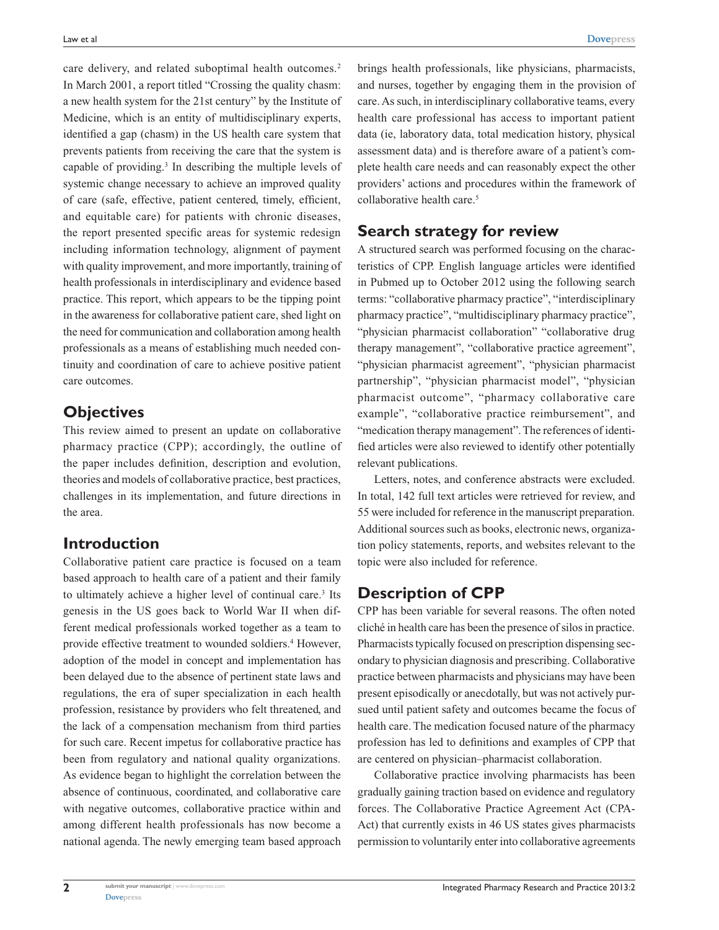care delivery, and related suboptimal health outcomes.<sup>2</sup> In March 2001, a report titled "Crossing the quality chasm: a new health system for the 21st century" by the Institute of Medicine, which is an entity of multidisciplinary experts, identified a gap (chasm) in the US health care system that prevents patients from receiving the care that the system is capable of providing.3 In describing the multiple levels of systemic change necessary to achieve an improved quality of care (safe, effective, patient centered, timely, efficient, and equitable care) for patients with chronic diseases, the report presented specific areas for systemic redesign including information technology, alignment of payment with quality improvement, and more importantly, training of health professionals in interdisciplinary and evidence based practice. This report, which appears to be the tipping point in the awareness for collaborative patient care, shed light on the need for communication and collaboration among health professionals as a means of establishing much needed continuity and coordination of care to achieve positive patient care outcomes.

## **Objectives**

This review aimed to present an update on collaborative pharmacy practice (CPP); accordingly, the outline of the paper includes definition, description and evolution, theories and models of collaborative practice, best practices, challenges in its implementation, and future directions in the area.

### **Introduction**

Collaborative patient care practice is focused on a team based approach to health care of a patient and their family to ultimately achieve a higher level of continual care.<sup>3</sup> Its genesis in the US goes back to World War II when different medical professionals worked together as a team to provide effective treatment to wounded soldiers.<sup>4</sup> However, adoption of the model in concept and implementation has been delayed due to the absence of pertinent state laws and regulations, the era of super specialization in each health profession, resistance by providers who felt threatened, and the lack of a compensation mechanism from third parties for such care. Recent impetus for collaborative practice has been from regulatory and national quality organizations. As evidence began to highlight the correlation between the absence of continuous, coordinated, and collaborative care with negative outcomes, collaborative practice within and among different health professionals has now become a national agenda. The newly emerging team based approach

brings health professionals, like physicians, pharmacists, and nurses, together by engaging them in the provision of care. As such, in interdisciplinary collaborative teams, every health care professional has access to important patient data (ie, laboratory data, total medication history, physical assessment data) and is therefore aware of a patient's complete health care needs and can reasonably expect the other providers' actions and procedures within the framework of collaborative health care.<sup>5</sup>

## **Search strategy for review**

A structured search was performed focusing on the characteristics of CPP. English language articles were identified in Pubmed up to October 2012 using the following search terms: "collaborative pharmacy practice", "interdisciplinary pharmacy practice", "multidisciplinary pharmacy practice", "physician pharmacist collaboration" "collaborative drug therapy management", "collaborative practice agreement", "physician pharmacist agreement", "physician pharmacist partnership", "physician pharmacist model", "physician pharmacist outcome", "pharmacy collaborative care example", "collaborative practice reimbursement", and "medication therapy management". The references of identified articles were also reviewed to identify other potentially relevant publications.

Letters, notes, and conference abstracts were excluded. In total, 142 full text articles were retrieved for review, and 55 were included for reference in the manuscript preparation. Additional sources such as books, electronic news, organization policy statements, reports, and websites relevant to the topic were also included for reference.

## **Description of CPP**

CPP has been variable for several reasons. The often noted cliché in health care has been the presence of silos in practice. Pharmacists typically focused on prescription dispensing secondary to physician diagnosis and prescribing. Collaborative practice between pharmacists and physicians may have been present episodically or anecdotally, but was not actively pursued until patient safety and outcomes became the focus of health care. The medication focused nature of the pharmacy profession has led to definitions and examples of CPP that are centered on physician–pharmacist collaboration.

Collaborative practice involving pharmacists has been gradually gaining traction based on evidence and regulatory forces. The Collaborative Practice Agreement Act (CPA-Act) that currently exists in 46 US states gives pharmacists permission to voluntarily enter into collaborative agreements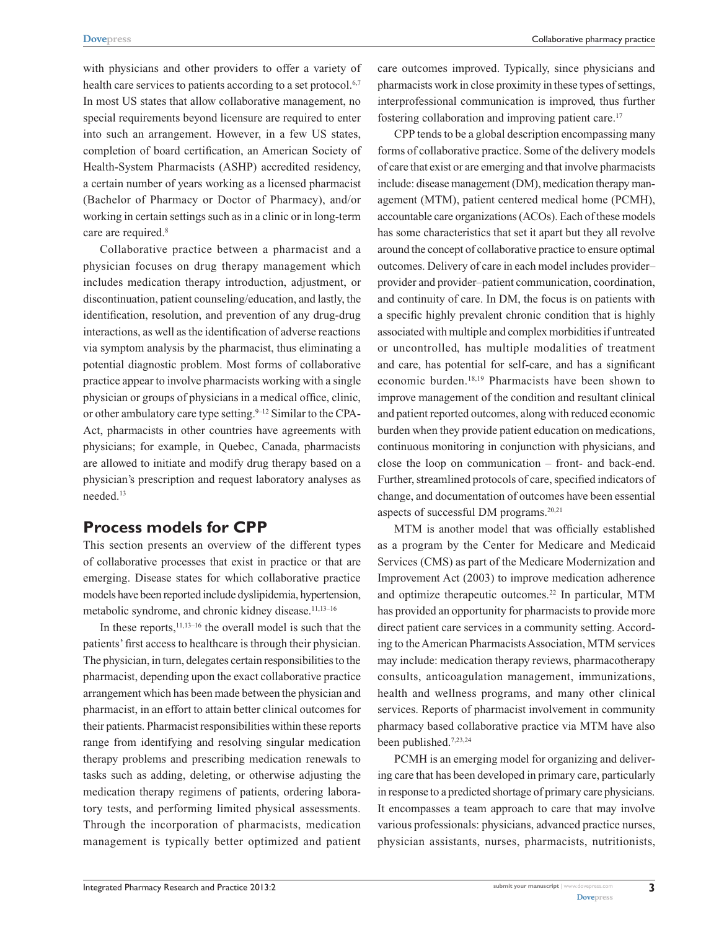with physicians and other providers to offer a variety of health care services to patients according to a set protocol.<sup>6,7</sup> In most US states that allow collaborative management, no special requirements beyond licensure are required to enter into such an arrangement. However, in a few US states, completion of board certification, an American Society of Health-System Pharmacists (ASHP) accredited residency, a certain number of years working as a licensed pharmacist (Bachelor of Pharmacy or Doctor of Pharmacy), and/or working in certain settings such as in a clinic or in long-term care are required.<sup>8</sup>

Collaborative practice between a pharmacist and a physician focuses on drug therapy management which includes medication therapy introduction, adjustment, or discontinuation, patient counseling/education, and lastly, the identification, resolution, and prevention of any drug-drug interactions, as well as the identification of adverse reactions via symptom analysis by the pharmacist, thus eliminating a potential diagnostic problem. Most forms of collaborative practice appear to involve pharmacists working with a single physician or groups of physicians in a medical office, clinic, or other ambulatory care type setting. $9-12$  Similar to the CPA-Act, pharmacists in other countries have agreements with physicians; for example, in Quebec, Canada, pharmacists are allowed to initiate and modify drug therapy based on a physician's prescription and request laboratory analyses as needed.13

## **Process models for CPP**

This section presents an overview of the different types of collaborative processes that exist in practice or that are emerging. Disease states for which collaborative practice models have been reported include dyslipidemia, hypertension, metabolic syndrome, and chronic kidney disease.<sup>11,13–16</sup>

In these reports, $11,13-16$  the overall model is such that the patients' first access to healthcare is through their physician. The physician, in turn, delegates certain responsibilities to the pharmacist, depending upon the exact collaborative practice arrangement which has been made between the physician and pharmacist, in an effort to attain better clinical outcomes for their patients. Pharmacist responsibilities within these reports range from identifying and resolving singular medication therapy problems and prescribing medication renewals to tasks such as adding, deleting, or otherwise adjusting the medication therapy regimens of patients, ordering laboratory tests, and performing limited physical assessments. Through the incorporation of pharmacists, medication management is typically better optimized and patient care outcomes improved. Typically, since physicians and pharmacists work in close proximity in these types of settings, interprofessional communication is improved, thus further fostering collaboration and improving patient care.<sup>17</sup>

CPP tends to be a global description encompassing many forms of collaborative practice. Some of the delivery models of care that exist or are emerging and that involve pharmacists include: disease management (DM), medication therapy management (MTM), patient centered medical home (PCMH), accountable care organizations (ACOs). Each of these models has some characteristics that set it apart but they all revolve around the concept of collaborative practice to ensure optimal outcomes. Delivery of care in each model includes provider– provider and provider–patient communication, coordination, and continuity of care. In DM, the focus is on patients with a specific highly prevalent chronic condition that is highly associated with multiple and complex morbidities if untreated or uncontrolled, has multiple modalities of treatment and care, has potential for self-care, and has a significant economic burden.18,19 Pharmacists have been shown to improve management of the condition and resultant clinical and patient reported outcomes, along with reduced economic burden when they provide patient education on medications, continuous monitoring in conjunction with physicians, and close the loop on communication – front- and back-end. Further, streamlined protocols of care, specified indicators of change, and documentation of outcomes have been essential aspects of successful DM programs.<sup>20,21</sup>

MTM is another model that was officially established as a program by the Center for Medicare and Medicaid Services (CMS) as part of the Medicare Modernization and Improvement Act (2003) to improve medication adherence and optimize therapeutic outcomes.22 In particular, MTM has provided an opportunity for pharmacists to provide more direct patient care services in a community setting. According to the American Pharmacists Association, MTM services may include: medication therapy reviews, pharmacotherapy consults, anticoagulation management, immunizations, health and wellness programs, and many other clinical services. Reports of pharmacist involvement in community pharmacy based collaborative practice via MTM have also been published.7,23,24

PCMH is an emerging model for organizing and delivering care that has been developed in primary care, particularly in response to a predicted shortage of primary care physicians. It encompasses a team approach to care that may involve various professionals: physicians, advanced practice nurses, physician assistants, nurses, pharmacists, nutritionists,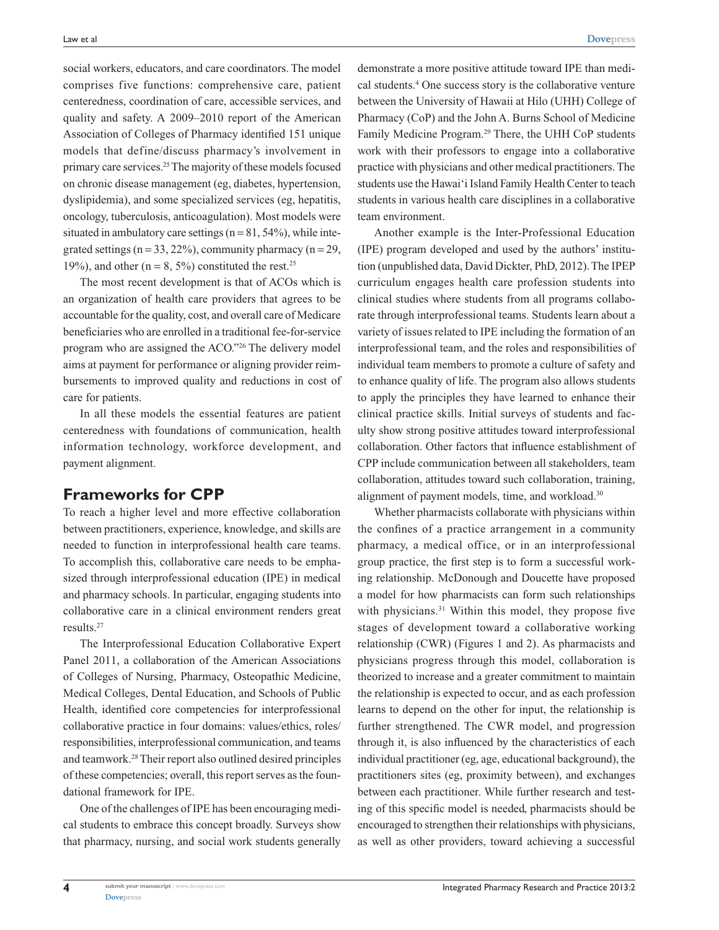social workers, educators, and care coordinators. The model comprises five functions: comprehensive care, patient centeredness, coordination of care, accessible services, and quality and safety. A 2009–2010 report of the American Association of Colleges of Pharmacy identified 151 unique models that define/discuss pharmacy's involvement in primary care services.25 The majority of these models focused on chronic disease management (eg, diabetes, hypertension, dyslipidemia), and some specialized services (eg, hepatitis, oncology, tuberculosis, anticoagulation). Most models were situated in ambulatory care settings  $(n = 81, 54\%)$ , while integrated settings ( $n = 33, 22\%$ ), community pharmacy ( $n = 29$ , 19%), and other ( $n = 8, 5%$ ) constituted the rest.<sup>25</sup>

The most recent development is that of ACOs which is an organization of health care providers that agrees to be accountable for the quality, cost, and overall care of Medicare beneficiaries who are enrolled in a traditional fee-for-service program who are assigned the ACO."26 The delivery model aims at payment for performance or aligning provider reimbursements to improved quality and reductions in cost of care for patients.

In all these models the essential features are patient centeredness with foundations of communication, health information technology, workforce development, and payment alignment.

#### **Frameworks for CPP**

To reach a higher level and more effective collaboration between practitioners, experience, knowledge, and skills are needed to function in interprofessional health care teams. To accomplish this, collaborative care needs to be emphasized through interprofessional education (IPE) in medical and pharmacy schools. In particular, engaging students into collaborative care in a clinical environment renders great results.27

The Interprofessional Education Collaborative Expert Panel 2011, a collaboration of the American Associations of Colleges of Nursing, Pharmacy, Osteopathic Medicine, Medical Colleges, Dental Education, and Schools of Public Health, identified core competencies for interprofessional collaborative practice in four domains: values/ethics, roles/ responsibilities, interprofessional communication, and teams and teamwork.28 Their report also outlined desired principles of these competencies; overall, this report serves as the foundational framework for IPE.

One of the challenges of IPE has been encouraging medical students to embrace this concept broadly. Surveys show that pharmacy, nursing, and social work students generally

demonstrate a more positive attitude toward IPE than medical students.4 One success story is the collaborative venture between the University of Hawaii at Hilo (UHH) College of Pharmacy (CoP) and the John A. Burns School of Medicine Family Medicine Program.<sup>29</sup> There, the UHH CoP students work with their professors to engage into a collaborative practice with physicians and other medical practitioners. The students use the Hawai'i Island Family Health Center to teach students in various health care disciplines in a collaborative team environment.

Another example is the Inter-Professional Education (IPE) program developed and used by the authors' institution (unpublished data, David Dickter, PhD, 2012). The IPEP curriculum engages health care profession students into clinical studies where students from all programs collaborate through interprofessional teams. Students learn about a variety of issues related to IPE including the formation of an interprofessional team, and the roles and responsibilities of individual team members to promote a culture of safety and to enhance quality of life. The program also allows students to apply the principles they have learned to enhance their clinical practice skills. Initial surveys of students and faculty show strong positive attitudes toward interprofessional collaboration. Other factors that influence establishment of CPP include communication between all stakeholders, team collaboration, attitudes toward such collaboration, training, alignment of payment models, time, and workload.<sup>30</sup>

Whether pharmacists collaborate with physicians within the confines of a practice arrangement in a community pharmacy, a medical office, or in an interprofessional group practice, the first step is to form a successful working relationship. McDonough and Doucette have proposed a model for how pharmacists can form such relationships with physicians.<sup>31</sup> Within this model, they propose five stages of development toward a collaborative working relationship (CWR) (Figures 1 and 2). As pharmacists and physicians progress through this model, collaboration is theorized to increase and a greater commitment to maintain the relationship is expected to occur, and as each profession learns to depend on the other for input, the relationship is further strengthened. The CWR model, and progression through it, is also influenced by the characteristics of each individual practitioner (eg, age, educational background), the practitioners sites (eg, proximity between), and exchanges between each practitioner. While further research and testing of this specific model is needed, pharmacists should be encouraged to strengthen their relationships with physicians, as well as other providers, toward achieving a successful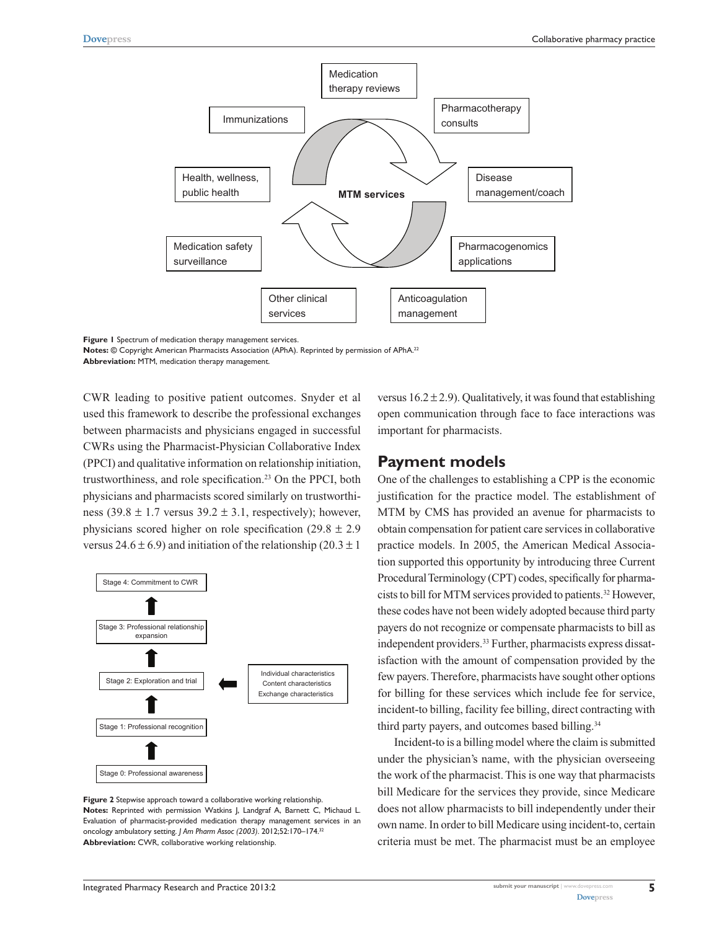

**Figure 1** Spectrum of medication therapy management services.

**Notes: ©** Copyright American Pharmacists Association (APhA). Reprinted by permission of APhA.22

**Abbreviation:** MTM, medication therapy management.

CWR leading to positive patient outcomes. Snyder et al used this framework to describe the professional exchanges between pharmacists and physicians engaged in successful CWRs using the Pharmacist-Physician Collaborative Index (PPCI) and qualitative information on relationship initiation, trustworthiness, and role specification.23 On the PPCI, both physicians and pharmacists scored similarly on trustworthiness (39.8  $\pm$  1.7 versus 39.2  $\pm$  3.1, respectively); however, physicians scored higher on role specification  $(29.8 \pm 2.9)$ versus 24.6  $\pm$  6.9) and initiation of the relationship (20.3  $\pm$  1



**Figure 2** Stepwise approach toward a collaborative working relationship. **Notes:** Reprinted with permission Watkins J, Landgraf A, Barnett C, Michaud L. Evaluation of pharmacist-provided medication therapy management services in an oncology ambulatory setting. *J Am Pharm Assoc (2003)*. 2012;52:170–174.32 **Abbreviation:** CWR, collaborative working relationship.

versus  $16.2 \pm 2.9$ ). Qualitatively, it was found that establishing open communication through face to face interactions was important for pharmacists.

#### **Payment models**

One of the challenges to establishing a CPP is the economic justification for the practice model. The establishment of MTM by CMS has provided an avenue for pharmacists to obtain compensation for patient care services in collaborative practice models. In 2005, the American Medical Association supported this opportunity by introducing three Current Procedural Terminology (CPT) codes, specifically for pharmacists to bill for MTM services provided to patients.32 However, these codes have not been widely adopted because third party payers do not recognize or compensate pharmacists to bill as independent providers.<sup>33</sup> Further, pharmacists express dissatisfaction with the amount of compensation provided by the few payers. Therefore, pharmacists have sought other options for billing for these services which include fee for service, incident-to billing, facility fee billing, direct contracting with third party payers, and outcomes based billing.<sup>34</sup>

Incident-to is a billing model where the claim is submitted under the physician's name, with the physician overseeing the work of the pharmacist. This is one way that pharmacists bill Medicare for the services they provide, since Medicare does not allow pharmacists to bill independently under their own name. In order to bill Medicare using incident-to, certain criteria must be met. The pharmacist must be an employee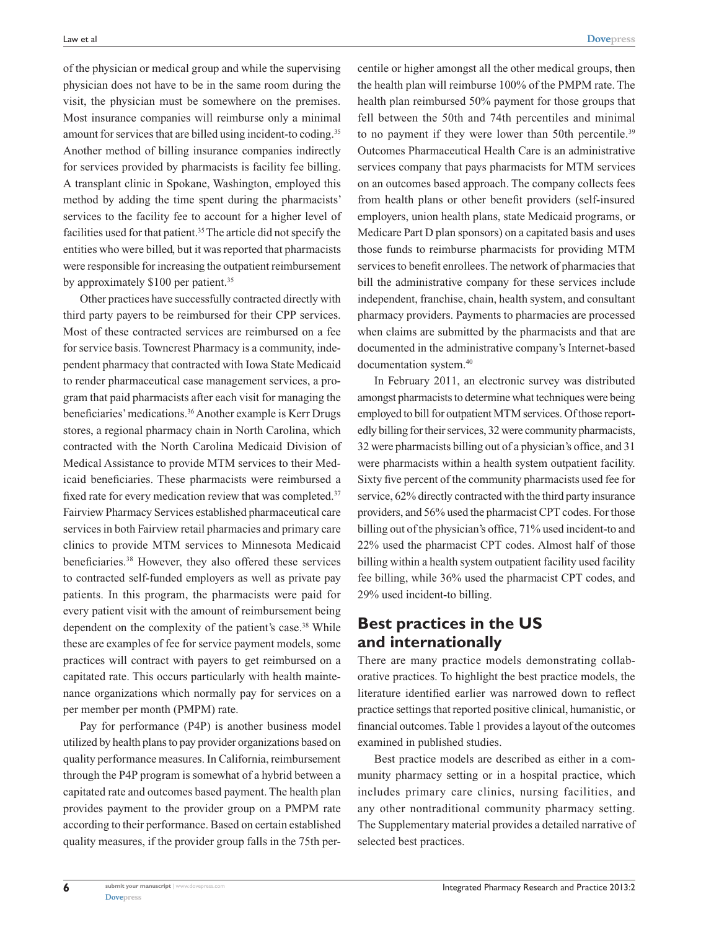of the physician or medical group and while the supervising physician does not have to be in the same room during the visit, the physician must be somewhere on the premises. Most insurance companies will reimburse only a minimal amount for services that are billed using incident-to coding.<sup>35</sup> Another method of billing insurance companies indirectly for services provided by pharmacists is facility fee billing. A transplant clinic in Spokane, Washington, employed this method by adding the time spent during the pharmacists' services to the facility fee to account for a higher level of facilities used for that patient.<sup>35</sup> The article did not specify the entities who were billed, but it was reported that pharmacists were responsible for increasing the outpatient reimbursement by approximately \$100 per patient.<sup>35</sup>

Other practices have successfully contracted directly with third party payers to be reimbursed for their CPP services. Most of these contracted services are reimbursed on a fee for service basis. Towncrest Pharmacy is a community, independent pharmacy that contracted with Iowa State Medicaid to render pharmaceutical case management services, a program that paid pharmacists after each visit for managing the beneficiaries' medications.<sup>36</sup> Another example is Kerr Drugs stores, a regional pharmacy chain in North Carolina, which contracted with the North Carolina Medicaid Division of Medical Assistance to provide MTM services to their Medicaid beneficiaries. These pharmacists were reimbursed a fixed rate for every medication review that was completed.<sup>37</sup> Fairview Pharmacy Services established pharmaceutical care services in both Fairview retail pharmacies and primary care clinics to provide MTM services to Minnesota Medicaid beneficiaries.38 However, they also offered these services to contracted self-funded employers as well as private pay patients. In this program, the pharmacists were paid for every patient visit with the amount of reimbursement being dependent on the complexity of the patient's case.<sup>38</sup> While these are examples of fee for service payment models, some practices will contract with payers to get reimbursed on a capitated rate. This occurs particularly with health maintenance organizations which normally pay for services on a per member per month (PMPM) rate.

Pay for performance (P4P) is another business model utilized by health plans to pay provider organizations based on quality performance measures. In California, reimbursement through the P4P program is somewhat of a hybrid between a capitated rate and outcomes based payment. The health plan provides payment to the provider group on a PMPM rate according to their performance. Based on certain established quality measures, if the provider group falls in the 75th percentile or higher amongst all the other medical groups, then the health plan will reimburse 100% of the PMPM rate. The health plan reimbursed 50% payment for those groups that fell between the 50th and 74th percentiles and minimal to no payment if they were lower than 50th percentile.<sup>39</sup> Outcomes Pharmaceutical Health Care is an administrative services company that pays pharmacists for MTM services on an outcomes based approach. The company collects fees from health plans or other benefit providers (self-insured employers, union health plans, state Medicaid programs, or Medicare Part D plan sponsors) on a capitated basis and uses those funds to reimburse pharmacists for providing MTM services to benefit enrollees. The network of pharmacies that bill the administrative company for these services include independent, franchise, chain, health system, and consultant pharmacy providers. Payments to pharmacies are processed when claims are submitted by the pharmacists and that are documented in the administrative company's Internet-based documentation system.40

In February 2011, an electronic survey was distributed amongst pharmacists to determine what techniques were being employed to bill for outpatient MTM services. Of those reportedly billing for their services, 32 were community pharmacists, 32 were pharmacists billing out of a physician's office, and 31 were pharmacists within a health system outpatient facility. Sixty five percent of the community pharmacists used fee for service, 62% directly contracted with the third party insurance providers, and 56% used the pharmacist CPT codes. For those billing out of the physician's office, 71% used incident-to and 22% used the pharmacist CPT codes. Almost half of those billing within a health system outpatient facility used facility fee billing, while 36% used the pharmacist CPT codes, and 29% used incident-to billing.

# **Best practices in the US and internationally**

There are many practice models demonstrating collaborative practices. To highlight the best practice models, the literature identified earlier was narrowed down to reflect practice settings that reported positive clinical, humanistic, or financial outcomes. Table 1 provides a layout of the outcomes examined in published studies.

Best practice models are described as either in a community pharmacy setting or in a hospital practice, which includes primary care clinics, nursing facilities, and any other nontraditional community pharmacy setting. The Supplementary material provides a detailed narrative of selected best practices.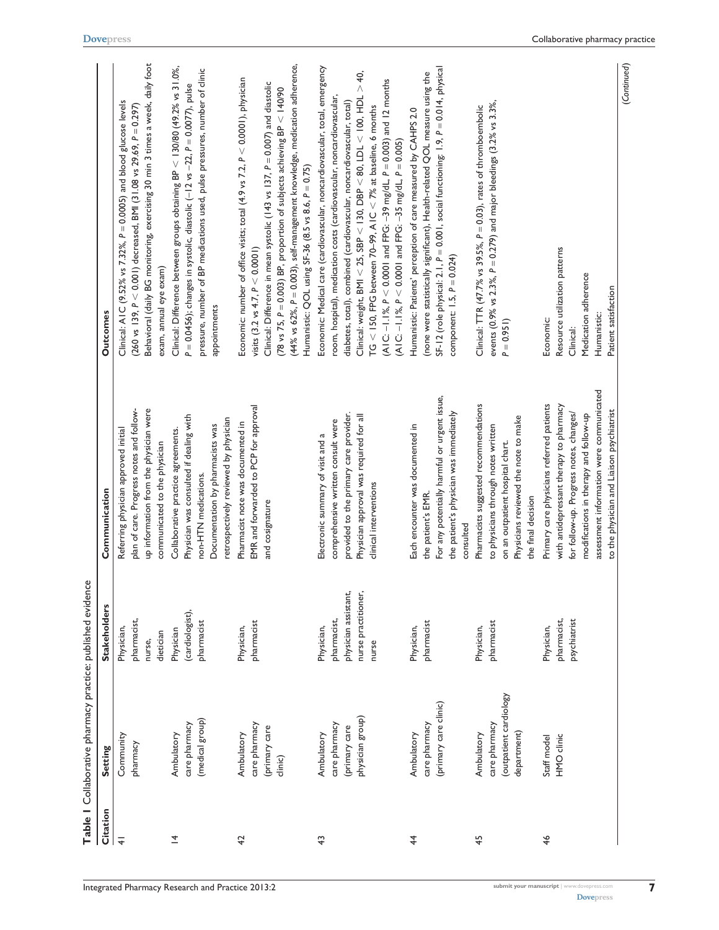| Citation       | <b>Setting</b>         | <b>Stakeholders</b>  | Communication                                | <b>Outcomes</b>                                                                                                                                          |
|----------------|------------------------|----------------------|----------------------------------------------|----------------------------------------------------------------------------------------------------------------------------------------------------------|
| $\frac{1}{4}$  | Community              |                      |                                              |                                                                                                                                                          |
|                |                        | Physician,           | Referring physician approved initial         | Clinical: A1C (9.52% vs $7.32%$ , $P = 0.0005$ ) and blood glucose levels                                                                                |
|                | pharmacy               | pharmacist,          | plan of care. Progress notes and follow-     | (260 vs 139, $P < 0.001$ ) decreased, BMI (31.08 vs 29.69, $P = 0.297$ )                                                                                 |
|                |                        | nurse,               | up information from the physician were       | Behavioral (daily BG monitoring, exercising 30 min 3 times a week, daily foot                                                                            |
|                |                        | dietician            | communicated to the physician                | exam, annual eye exam)                                                                                                                                   |
| $\overline{4}$ | Ambulatory             | Physician            | Collaborative practice agreements.           | Clinical: Difference between groups obtaining BP $<$ 130/80 (49.2% vs 31.0%,                                                                             |
|                | care pharmacy          | (cardiologist),      | Physician was consulted if dealing with      | P = 0.0456); changes in systolic, diastolic (-12 vs -22, P = 0.0077), pulse                                                                              |
|                | (medical group)        | pharmacist           | non-HTN medications.                         | pressure, number of BP medications used, pulse pressures, number of clinic                                                                               |
|                |                        |                      | Documentation by pharmacists was             | appointments                                                                                                                                             |
|                |                        |                      | retrospectively reviewed by physician        |                                                                                                                                                          |
| 42             | Ambulatory             | Physician,           | Pharmacist note was documented in            | Economic: number of office visits; total (4.9 vs 7.2, $P \le 0.0001$ ), physician                                                                        |
|                | care pharmacy          | pharmacist           | EMR and forwarded to PCP for approval        | visits $(3.2 \text{ vs } 4.7, P < 0.0001)$                                                                                                               |
|                | (primary care          |                      | and cosignature                              | Clinical: Difference in mean systolic (143 vs 137, $P = 0.007$ ) and diastolic                                                                           |
|                | clinic)                |                      |                                              | (44% vs 62%, P = 0.003), self-management knowledge, medication adherence,<br>(78 vs 75, $P = 0.003$ ) BP, proportion of subjects achieving BP $<$ 140/90 |
|                |                        |                      |                                              | Humanistic: QOL using SF-36 (8.5 vs 8.6, P = 0.75)                                                                                                       |
| $\frac{4}{3}$  | Ambulatory             | Physician,           | Electronic summary of visit and a            | Economic: Medical care (cardiovascular, noncardiovascular, total, emergency                                                                              |
|                | care pharmacy          | pharmacist,          | comprehensive written consult were           | room, hospital), medication costs (cardiovascular, noncardiovascular,                                                                                    |
|                | (primary care          | physician assistant, | provided to the primary care provider.       | diabetes, total), combined (cardiovascular, noncardiovascular, total)                                                                                    |
|                | physician group)       | nurse practitioner,  | Physician approval was required for all      | $> 40$ ,<br>$C$ linical: weight, $BMI < 25$ , $SBP < 130$ , $DBP < 80$ , $LDL < 100$ , $HDL$                                                             |
|                |                        | nurse                | clinical interventions                       | TG $<$ 150, FPG between 70–99, AIC $<$ 7% at baseline, 6 months                                                                                          |
|                |                        |                      |                                              | $(AIC: -1.1\%, P < 0.0001$ and FPG: -39 mg/dL, $P = 0.003$ ) and 12 months<br>$(AIC: -1.1\%, P < 0.0001$ and FPG: $-35$ mg/dL, $P = 0.005$ )             |
|                |                        |                      |                                              |                                                                                                                                                          |
| $\frac{4}{4}$  | Ambulatory             | Physician,           | Each encounter was documented in             | Humanistic: Patients' perception of care measured by CAHPS 2.0                                                                                           |
|                | care pharmacy          | pharmacist           | the patient's EMR.                           | (none were statistically significant), Health-related QOL measure using the                                                                              |
|                | (primary care clinic)  |                      | For any potentially harmful or urgent issue, | SF-12 (role physical: 2.1, $P = 0.001$ , social functioning: 1.9, $P = 0.014$ , physical                                                                 |
|                |                        |                      | the patient's physician was immediately      | component: $1.5, P = 0.024$ )                                                                                                                            |
|                |                        |                      | consulted                                    |                                                                                                                                                          |
| $\frac{45}{5}$ | Ambulatory             | Physician,           | Pharmacists suggested recommendations        | Clinical: TTR $(47.7\%$ vs 39.5%, $P = 0.03$ ), rates of thromboembolic                                                                                  |
|                | care pharmacy          | pharmacist           | to physicians through notes written          | events (0.9% vs 2.3%, $P = 0.279$ ) and major bleedings (3.2% vs 3.3%,                                                                                   |
|                | (outpatient cardiology |                      | on an outpatient hospital chart.             | $P = 0.951$                                                                                                                                              |
|                | department)            |                      | Physicians reviewed the note to make         |                                                                                                                                                          |
|                |                        |                      | the final decision                           |                                                                                                                                                          |
| $\frac{4}{6}$  | Staff model            | Physician,           | Primary care physicians referred patients    | Economic:                                                                                                                                                |
|                | HMO clinic             | pharmacist,          | with antidepressant therapy to pharmacy      | Resource utilization patterns                                                                                                                            |
|                |                        | psychiatrist         | for follow-up. Progress notes, changes/      | Clinical:                                                                                                                                                |
|                |                        |                      | modifications in therapy and follow-up       | Medication adherence                                                                                                                                     |
|                |                        |                      | assessment information were communicated     | Humanistic:                                                                                                                                              |
|                |                        |                      | to the physician and Liaison psychiatrist    | Patient satisfaction                                                                                                                                     |

**[Dovepress](www.dovepress.com)**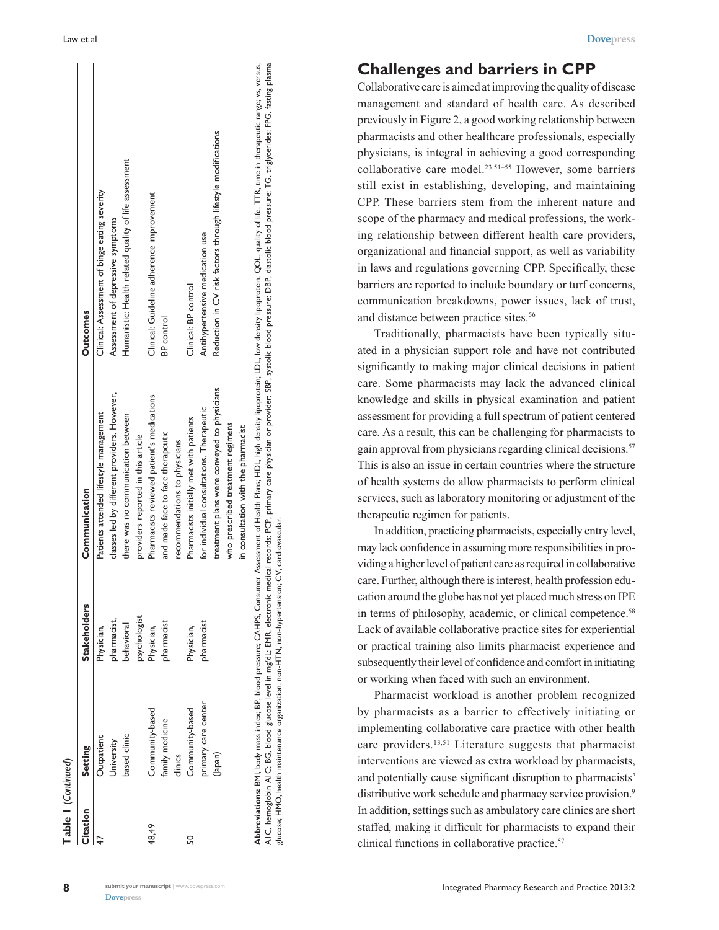| Citation | <b>Setting</b>      | <b>Stakeholders</b> | Communication                                | <b>Outcomes</b>                                              |
|----------|---------------------|---------------------|----------------------------------------------|--------------------------------------------------------------|
| 47       | Outpatient          | Physician,          | Patients attended lifestyle management       | Clinical: Assessment of binge eating severity                |
|          | University          | pharmacist,         | classes led by different providers. However, | Assessment of depressive symptoms                            |
|          | based clinic        | behavioral          | there was no communication between           | Humanistic: Health related quality of life assessment        |
|          |                     | psychologist        | providers reported in this article           |                                                              |
| 48.49    | Community-based     | Physician,          | Pharmacists reviewed patient's medications   | Clinical: Guideline adherence improvement                    |
|          | family medicine     | pharmacist          | and made face to face therapeutic            | BP control                                                   |
|          | clinics             |                     | recommendations to physicians                |                                                              |
| ន        | Community-based     | Physician,          | Pharmacists initially met with patients      | Clinical: BP control                                         |
|          | primary care center | pharmacist          | for individual consultations. Therapeutic    | Antihypertensive medication use                              |
|          | (Japan)             |                     | treatment plans were conveyed to physicians  | Reduction in CV risk factors through lifestyle modifications |
|          |                     |                     | who prescribed treatment regimens            |                                                              |
|          |                     |                     | in consultation with the pharmacist          |                                                              |

AIC, hemoglobin AIC; BG, blood glucose level in mg/dL; EMR, electronic medical records; PCP, primary care physician or provider; SBP, systolic blood pressure; DBP, diastolic blood pressure; TG, triglycerides; FPG, fasting glucose; HMO, health maintenance organization; non-HTN, non-hypertension; CV, cardiovascular glucose; HMO, health maintenance organization; non-HTN, non-hypertension; CV, cardiovascular. Sinra Binco

### **Challenges and barriers in CPP**

Collaborative care is aimed at improving the quality of disease management and standard of health care. As described previously in Figure 2, a good working relationship between pharmacists and other healthcare professionals, especially physicians, is integral in achieving a good corresponding collaborative care model.23,51–55 However, some barriers still exist in establishing, developing, and maintaining CPP. These barriers stem from the inherent nature and scope of the pharmacy and medical professions, the working relationship between different health care providers, organizational and financial support, as well as variability in laws and regulations governing CPP. Specifically, these barriers are reported to include boundary or turf concerns, communication breakdowns, power issues, lack of trust, and distance between practice sites.<sup>56</sup>

Traditionally, pharmacists have been typically situated in a physician support role and have not contributed significantly to making major clinical decisions in patient care. Some pharmacists may lack the advanced clinical knowledge and skills in physical examination and patient assessment for providing a full spectrum of patient centered care. As a result, this can be challenging for pharmacists to gain approval from physicians regarding clinical decisions.<sup>57</sup> This is also an issue in certain countries where the structure of health systems do allow pharmacists to perform clinical services, such as laboratory monitoring or adjustment of the therapeutic regimen for patients.

In addition, practicing pharmacists, especially entry level, may lack confidence in assuming more responsibilities in providing a higher level of patient care as required in collaborative care. Further, although there is interest, health profession education around the globe has not yet placed much stress on IPE in terms of philosophy, academic, or clinical competence.<sup>58</sup> Lack of available collaborative practice sites for experiential or practical training also limits pharmacist experience and subsequently their level of confidence and comfort in initiating or working when faced with such an environment.

Pharmacist workload is another problem recognized by pharmacists as a barrier to effectively initiating or implementing collaborative care practice with other health care providers.13,51 Literature suggests that pharmacist interventions are viewed as extra workload by pharmacists, and potentially cause significant disruption to pharmacists' distributive work schedule and pharmacy service provision.<sup>9</sup> In addition, settings such as ambulatory care clinics are short staffed, making it difficult for pharmacists to expand their clinical functions in collaborative practice.<sup>57</sup>

Table I (Continued)

submit your manuscript | www.do

**[Dovepress](www.dovepress.com)**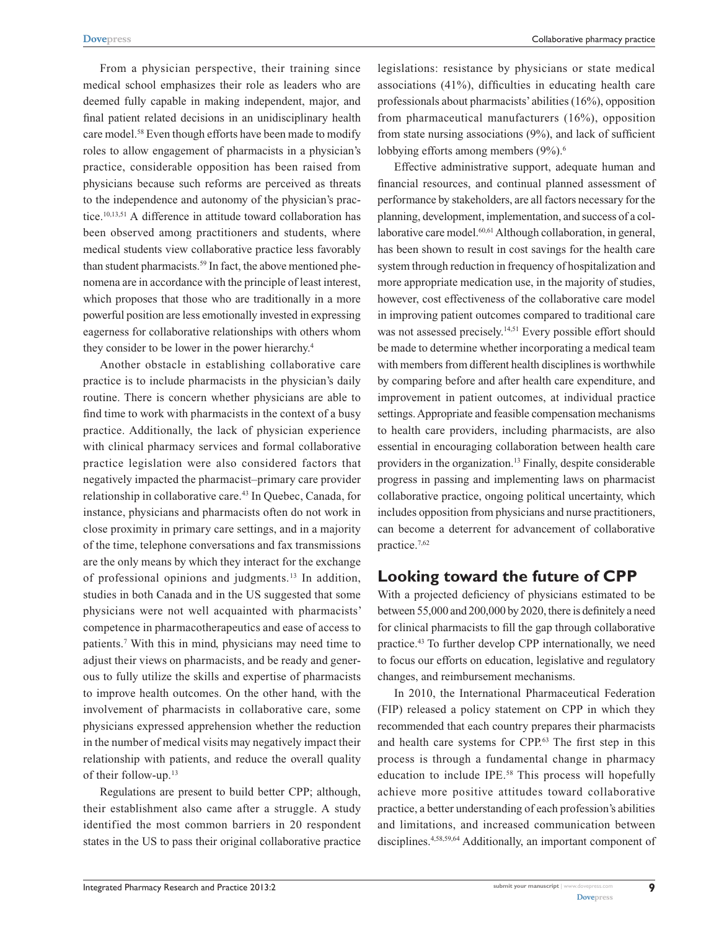From a physician perspective, their training since medical school emphasizes their role as leaders who are deemed fully capable in making independent, major, and final patient related decisions in an unidisciplinary health care model.<sup>58</sup> Even though efforts have been made to modify roles to allow engagement of pharmacists in a physician's practice, considerable opposition has been raised from physicians because such reforms are perceived as threats to the independence and autonomy of the physician's practice.10,13,51 A difference in attitude toward collaboration has been observed among practitioners and students, where medical students view collaborative practice less favorably than student pharmacists.<sup>59</sup> In fact, the above mentioned phenomena are in accordance with the principle of least interest, which proposes that those who are traditionally in a more powerful position are less emotionally invested in expressing eagerness for collaborative relationships with others whom they consider to be lower in the power hierarchy.4

Another obstacle in establishing collaborative care practice is to include pharmacists in the physician's daily routine. There is concern whether physicians are able to find time to work with pharmacists in the context of a busy practice. Additionally, the lack of physician experience with clinical pharmacy services and formal collaborative practice legislation were also considered factors that negatively impacted the pharmacist–primary care provider relationship in collaborative care.43 In Quebec, Canada, for instance, physicians and pharmacists often do not work in close proximity in primary care settings, and in a majority of the time, telephone conversations and fax transmissions are the only means by which they interact for the exchange of professional opinions and judgments.13 In addition, studies in both Canada and in the US suggested that some physicians were not well acquainted with pharmacists' competence in pharmacotherapeutics and ease of access to patients.7 With this in mind, physicians may need time to adjust their views on pharmacists, and be ready and generous to fully utilize the skills and expertise of pharmacists to improve health outcomes. On the other hand, with the involvement of pharmacists in collaborative care, some physicians expressed apprehension whether the reduction in the number of medical visits may negatively impact their relationship with patients, and reduce the overall quality of their follow-up.13

Regulations are present to build better CPP; although, their establishment also came after a struggle. A study identified the most common barriers in 20 respondent states in the US to pass their original collaborative practice legislations: resistance by physicians or state medical associations (41%), difficulties in educating health care professionals about pharmacists' abilities (16%), opposition from pharmaceutical manufacturers (16%), opposition from state nursing associations (9%), and lack of sufficient lobbying efforts among members (9%).<sup>6</sup>

Effective administrative support, adequate human and financial resources, and continual planned assessment of performance by stakeholders, are all factors necessary for the planning, development, implementation, and success of a collaborative care model.<sup>60,61</sup> Although collaboration, in general, has been shown to result in cost savings for the health care system through reduction in frequency of hospitalization and more appropriate medication use, in the majority of studies, however, cost effectiveness of the collaborative care model in improving patient outcomes compared to traditional care was not assessed precisely.<sup>14,51</sup> Every possible effort should be made to determine whether incorporating a medical team with members from different health disciplines is worthwhile by comparing before and after health care expenditure, and improvement in patient outcomes, at individual practice settings. Appropriate and feasible compensation mechanisms to health care providers, including pharmacists, are also essential in encouraging collaboration between health care providers in the organization.<sup>13</sup> Finally, despite considerable progress in passing and implementing laws on pharmacist collaborative practice, ongoing political uncertainty, which includes opposition from physicians and nurse practitioners, can become a deterrent for advancement of collaborative practice.7,62

## **Looking toward the future of CPP**

With a projected deficiency of physicians estimated to be between 55,000 and 200,000 by 2020, there is definitely a need for clinical pharmacists to fill the gap through collaborative practice.43 To further develop CPP internationally, we need to focus our efforts on education, legislative and regulatory changes, and reimbursement mechanisms.

In 2010, the International Pharmaceutical Federation (FIP) released a policy statement on CPP in which they recommended that each country prepares their pharmacists and health care systems for CPP.<sup>63</sup> The first step in this process is through a fundamental change in pharmacy education to include IPE.<sup>58</sup> This process will hopefully achieve more positive attitudes toward collaborative practice, a better understanding of each profession's abilities and limitations, and increased communication between disciplines.4,58,59,64 Additionally, an important component of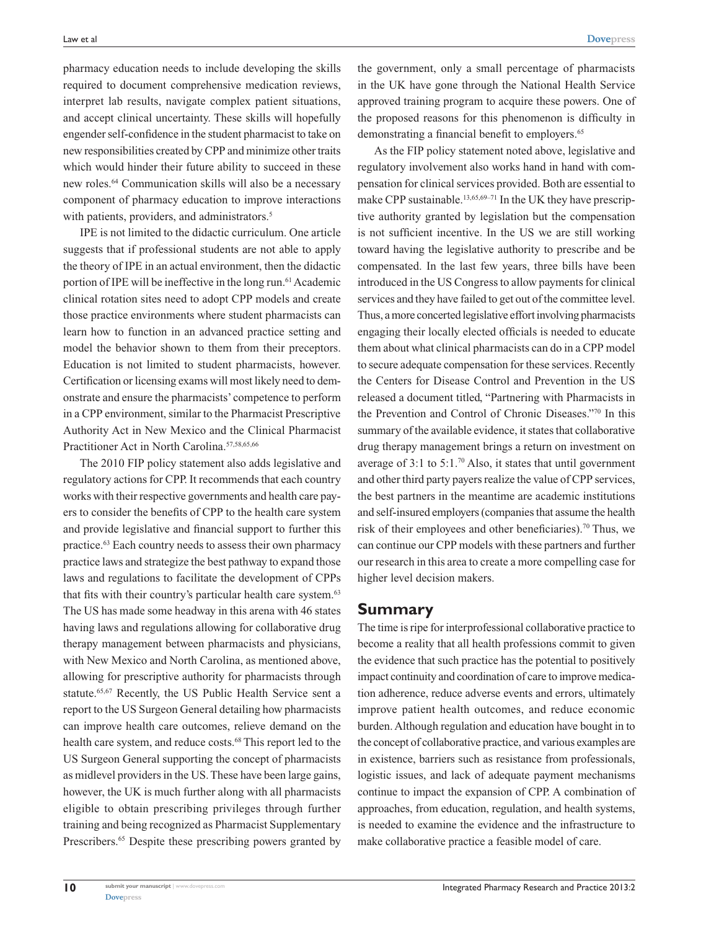pharmacy education needs to include developing the skills required to document comprehensive medication reviews, interpret lab results, navigate complex patient situations, and accept clinical uncertainty. These skills will hopefully engender self-confidence in the student pharmacist to take on new responsibilities created by CPP and minimize other traits which would hinder their future ability to succeed in these new roles.64 Communication skills will also be a necessary component of pharmacy education to improve interactions with patients, providers, and administrators.<sup>5</sup>

IPE is not limited to the didactic curriculum. One article suggests that if professional students are not able to apply the theory of IPE in an actual environment, then the didactic portion of IPE will be ineffective in the long run.<sup>61</sup> Academic clinical rotation sites need to adopt CPP models and create those practice environments where student pharmacists can learn how to function in an advanced practice setting and model the behavior shown to them from their preceptors. Education is not limited to student pharmacists, however. Certification or licensing exams will most likely need to demonstrate and ensure the pharmacists' competence to perform in a CPP environment, similar to the Pharmacist Prescriptive Authority Act in New Mexico and the Clinical Pharmacist Practitioner Act in North Carolina.57,58,65,66

The 2010 FIP policy statement also adds legislative and regulatory actions for CPP. It recommends that each country works with their respective governments and health care payers to consider the benefits of CPP to the health care system and provide legislative and financial support to further this practice.63 Each country needs to assess their own pharmacy practice laws and strategize the best pathway to expand those laws and regulations to facilitate the development of CPPs that fits with their country's particular health care system.<sup>63</sup> The US has made some headway in this arena with 46 states having laws and regulations allowing for collaborative drug therapy management between pharmacists and physicians, with New Mexico and North Carolina, as mentioned above, allowing for prescriptive authority for pharmacists through statute.<sup>65,67</sup> Recently, the US Public Health Service sent a report to the US Surgeon General detailing how pharmacists can improve health care outcomes, relieve demand on the health care system, and reduce costs.<sup>68</sup> This report led to the US Surgeon General supporting the concept of pharmacists as midlevel providers in the US. These have been large gains, however, the UK is much further along with all pharmacists eligible to obtain prescribing privileges through further training and being recognized as Pharmacist Supplementary Prescribers.<sup>65</sup> Despite these prescribing powers granted by

the government, only a small percentage of pharmacists in the UK have gone through the National Health Service approved training program to acquire these powers. One of the proposed reasons for this phenomenon is difficulty in demonstrating a financial benefit to employers.<sup>65</sup>

As the FIP policy statement noted above, legislative and regulatory involvement also works hand in hand with compensation for clinical services provided. Both are essential to make CPP sustainable.<sup>13,65,69-71</sup> In the UK they have prescriptive authority granted by legislation but the compensation is not sufficient incentive. In the US we are still working toward having the legislative authority to prescribe and be compensated. In the last few years, three bills have been introduced in the US Congress to allow payments for clinical services and they have failed to get out of the committee level. Thus, a more concerted legislative effort involving pharmacists engaging their locally elected officials is needed to educate them about what clinical pharmacists can do in a CPP model to secure adequate compensation for these services. Recently the Centers for Disease Control and Prevention in the US released a document titled, "Partnering with Pharmacists in the Prevention and Control of Chronic Diseases."70 In this summary of the available evidence, it states that collaborative drug therapy management brings a return on investment on average of 3:1 to 5:1.70 Also, it states that until government and other third party payers realize the value of CPP services, the best partners in the meantime are academic institutions and self-insured employers (companies that assume the health risk of their employees and other beneficiaries).70 Thus, we can continue our CPP models with these partners and further our research in this area to create a more compelling case for higher level decision makers.

#### **Summary**

The time is ripe for interprofessional collaborative practice to become a reality that all health professions commit to given the evidence that such practice has the potential to positively impact continuity and coordination of care to improve medication adherence, reduce adverse events and errors, ultimately improve patient health outcomes, and reduce economic burden. Although regulation and education have bought in to the concept of collaborative practice, and various examples are in existence, barriers such as resistance from professionals, logistic issues, and lack of adequate payment mechanisms continue to impact the expansion of CPP. A combination of approaches, from education, regulation, and health systems, is needed to examine the evidence and the infrastructure to make collaborative practice a feasible model of care.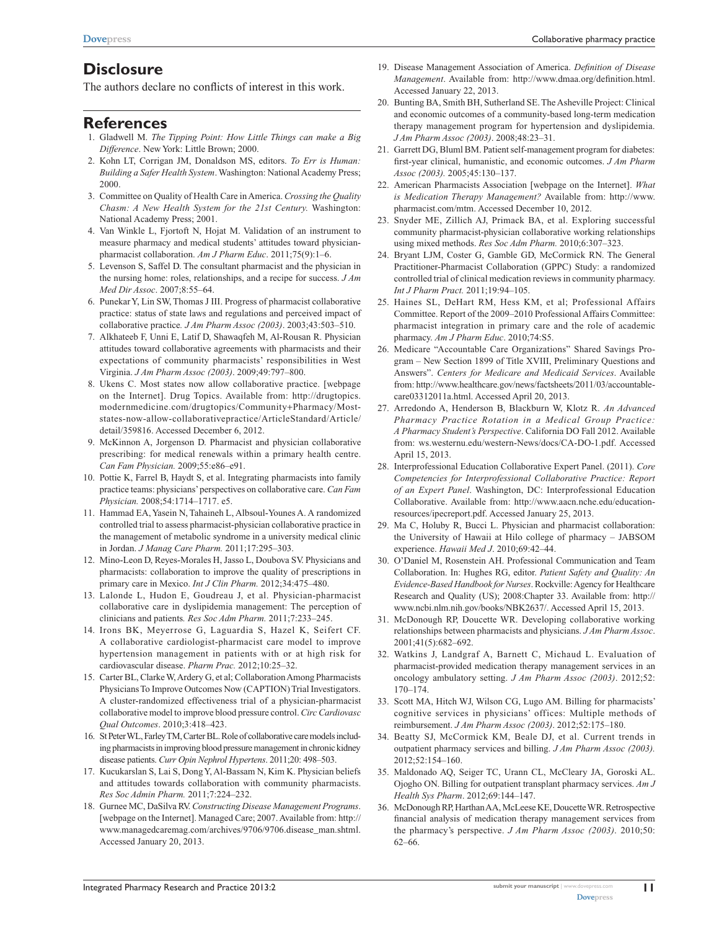## **Disclosure**

The authors declare no conflicts of interest in this work.

## **References**

- 1. Gladwell M. *The Tipping Point: How Little Things can make a Big Difference*. New York: Little Brown; 2000.
- 2. Kohn LT, Corrigan JM, Donaldson MS, editors. *To Err is Human: Building a Safer Health System*. Washington: National Academy Press; 2000.
- 3. Committee on Quality of Health Care in America. *Crossing the Quality Chasm: A New Health System for the 21st Century.* Washington: National Academy Press; 2001.
- 4. Van Winkle L, Fjortoft N, Hojat M. Validation of an instrument to measure pharmacy and medical students' attitudes toward physicianpharmacist collaboration. *Am J Pharm Educ*. 2011;75(9):1–6.
- 5. Levenson S, Saffel D. The consultant pharmacist and the physician in the nursing home: roles, relationships, and a recipe for success. *J Am Med Dir Assoc*. 2007;8:55–64.
- 6. Punekar Y, Lin SW, Thomas J III. Progress of pharmacist collaborative practice: status of state laws and regulations and perceived impact of collaborative practice*. J Am Pharm Assoc (2003)*. 2003;43:503–510.
- 7. Alkhateeb F, Unni E, Latif D, Shawaqfeh M, Al-Rousan R. Physician attitudes toward collaborative agreements with pharmacists and their expectations of community pharmacists' responsibilities in West Virginia. *J Am Pharm Assoc (2003)*. 2009;49:797–800.
- 8. Ukens C. Most states now allow collaborative practice. [webpage on the Internet]. Drug Topics. Available from: [http://drugtopics.](http://drugtopics.modernmedicine.com/drugtopics/Community+Pharmacy/Most-states-now-allow-collaborativepractice/ArticleStandard/Article/detail/359816) [modernmedicine.com/drugtopics/Community](http://drugtopics.modernmedicine.com/drugtopics/Community+Pharmacy/Most-states-now-allow-collaborativepractice/ArticleStandard/Article/detail/359816)+Pharmacy/Most[states-now-allow-collaborativepractice/ArticleStandard/Article/](http://drugtopics.modernmedicine.com/drugtopics/Community+Pharmacy/Most-states-now-allow-collaborativepractice/ArticleStandard/Article/detail/359816) [detail/359816.](http://drugtopics.modernmedicine.com/drugtopics/Community+Pharmacy/Most-states-now-allow-collaborativepractice/ArticleStandard/Article/detail/359816) Accessed December 6, 2012.
- 9. McKinnon A, Jorgenson D. Pharmacist and physician collaborative prescribing: for medical renewals within a primary health centre. *Can Fam Physician.* 2009;55:e86–e91.
- 10. Pottie K, Farrel B, Haydt S, et al. Integrating pharmacists into family practice teams: physicians' perspectives on collaborative care. *Can Fam Physician.* 2008;54:1714–1717. e5.
- 11. Hammad EA, Yasein N, Tahaineh L, Albsoul-Younes A. A randomized controlled trial to assess pharmacist-physician collaborative practice in the management of metabolic syndrome in a university medical clinic in Jordan. *J Manag Care Pharm.* 2011;17:295–303.
- 12. Mino-Leon D, Reyes-Morales H, Jasso L, Doubova SV. Physicians and pharmacists: collaboration to improve the quality of prescriptions in primary care in Mexico. *Int J Clin Pharm.* 2012;34:475–480.
- 13. Lalonde L, Hudon E, Goudreau J, et al. Physician-pharmacist collaborative care in dyslipidemia management: The perception of clinicians and patients*. Res Soc Adm Pharm.* 2011;7:233–245.
- 14. Irons BK, Meyerrose G, Laguardia S, Hazel K, Seifert CF. A collaborative cardiologist-pharmacist care model to improve hypertension management in patients with or at high risk for cardiovascular disease. *Pharm Prac.* 2012;10:25–32.
- 15. Carter BL, Clarke W, Ardery G, et al; Collaboration Among Pharmacists Physicians To Improve Outcomes Now (CAPTION) Trial Investigators. A cluster-randomized effectiveness trial of a physician-pharmacist collaborative model to improve blood pressure control. *Circ Cardiovasc Qual Outcomes*. 2010;3:418–423.
- 16. St Peter WL, Farley TM, Carter BL. Role of collaborative care models including pharmacists in improving blood pressure management in chronic kidney disease patients. *Curr Opin Nephrol Hypertens*. 2011;20: 498–503.
- 17. Kucukarslan S, Lai S, Dong Y, Al-Bassam N, Kim K. Physician beliefs and attitudes towards collaboration with community pharmacists. *Res Soc Admin Pharm.* 2011;7:224–232.
- 18. Gurnee MC, DaSilva RV. *Constructing Disease Management Programs*. [webpage on the Internet]. Managed Care; 2007. Available from: [http://](http://www.managedcaremag.com/archives/9706/9706.disease_man.shtml) [www.managedcaremag.com/archives/9706/9706.disease\\_man.shtml](http://www.managedcaremag.com/archives/9706/9706.disease_man.shtml). Accessed January 20, 2013.
- 19. Disease Management Association of America. *Definition of Disease Management*. Available from: <http://www.dmaa.org/definition.html>. Accessed January 22, 2013.
- 20. Bunting BA, Smith BH, Sutherland SE. The Asheville Project: Clinical and economic outcomes of a community-based long-term medication therapy management program for hypertension and dyslipidemia. *J Am Pharm Assoc (2003)*. 2008;48:23–31.
- 21. Garrett DG, Bluml BM. Patient self-management program for diabetes: first-year clinical, humanistic, and economic outcomes. *J Am Pharm Assoc (2003).* 2005;45:130–137.
- 22. American Pharmacists Association [webpage on the Internet]. *What is Medication Therapy Management?* Available from: [http://www.](http://www.pharmacist.com/mtm) [pharmacist.com/mtm.](http://www.pharmacist.com/mtm) Accessed December 10, 2012.
- 23. Snyder ME, Zillich AJ, Primack BA, et al. Exploring successful community pharmacist-physician collaborative working relationships using mixed methods. *Res Soc Adm Pharm.* 2010;6:307–323.
- 24. Bryant LJM, Coster G, Gamble GD, McCormick RN. The General Practitioner-Pharmacist Collaboration (GPPC) Study: a randomized controlled trial of clinical medication reviews in community pharmacy. *Int J Pharm Pract.* 2011;19:94–105.
- 25. Haines SL, DeHart RM, Hess KM, et al; Professional Affairs Committee. Report of the 2009–2010 Professional Affairs Committee: pharmacist integration in primary care and the role of academic pharmacy. *Am J Pharm Educ*. 2010;74:S5.
- 26. Medicare "Accountable Care Organizations" Shared Savings Program – New Section 1899 of Title XVIII, Preliminary Questions and Answers". *Centers for Medicare and Medicaid Services*. Available from: [http://www.healthcare.gov/news/factsheets/2011/03/accountable](http://www.healthcare.gov/news/factsheets/2011/03/accountablecare03312011a.html)[care03312011a.html](http://www.healthcare.gov/news/factsheets/2011/03/accountablecare03312011a.html). Accessed April 20, 2013.
- 27. Arredondo A, Henderson B, Blackburn W, Klotz R. *An Advanced Pharmacy Practice Rotation in a Medical Group Practice: A Pharmacy Student's Perspective*. California DO Fall 2012. Available from: ws.westernu.edu/western-News/docs/CA-DO-1.pdf. Accessed April 15, 2013.
- 28. Interprofessional Education Collaborative Expert Panel. (2011). *Core Competencies for Interprofessional Collaborative Practice: Report of an Expert Panel*. Washington, DC: Interprofessional Education Collaborative. Available from: [http://www.aacn.nche.edu/education](http://www.aacn.nche.edu/education-resources/ipecreport.pdf)[resources/ipecreport.pdf](http://www.aacn.nche.edu/education-resources/ipecreport.pdf). Accessed January 25, 2013.
- 29. Ma C, Holuby R, Bucci L. Physician and pharmacist collaboration: the University of Hawaii at Hilo college of pharmacy – JABSOM experience. *Hawaii Med J*. 2010;69:42–44.
- 30. O'Daniel M, Rosenstein AH. Professional Communication and Team Collaboration. In: Hughes RG, editor. *Patient Safety and Quality: An Evidence-Based Handbook for Nurses*. Rockville: Agency for Healthcare Research and Quality (US); 2008:Chapter 33. Available from: [http://](http://www.ncbi.nlm.nih.gov/books/NBK2637/) [www.ncbi.nlm.nih.gov/books/NBK2637/.](http://www.ncbi.nlm.nih.gov/books/NBK2637/) Accessed April 15, 2013.
- 31. McDonough RP, Doucette WR. Developing collaborative working relationships between pharmacists and physicians. *J Am Pharm Assoc*. 2001;41(5):682–692.
- 32. Watkins J, Landgraf A, Barnett C, Michaud L. Evaluation of pharmacist-provided medication therapy management services in an oncology ambulatory setting. *J Am Pharm Assoc (2003)*. 2012;52: 170–174.
- 33. Scott MA, Hitch WJ, Wilson CG, Lugo AM. Billing for pharmacists' cognitive services in physicians' offices: Multiple methods of reimbursement. *J Am Pharm Assoc (2003)*. 2012;52:175–180.
- 34. Beatty SJ, McCormick KM, Beale DJ, et al. Current trends in outpatient pharmacy services and billing. *J Am Pharm Assoc (2003).* 2012;52:154–160.
- 35. Maldonado AQ, Seiger TC, Urann CL, McCleary JA, Goroski AL. Ojogho ON. Billing for outpatient transplant pharmacy services. *Am J Health Sys Pharm*. 2012;69:144–147.
- 36. McDonough RP, Harthan AA, McLeese KE, Doucette WR. Retrospective financial analysis of medication therapy management services from the pharmacy's perspective. *J Am Pharm Assoc (2003)*. 2010;50: 62–66.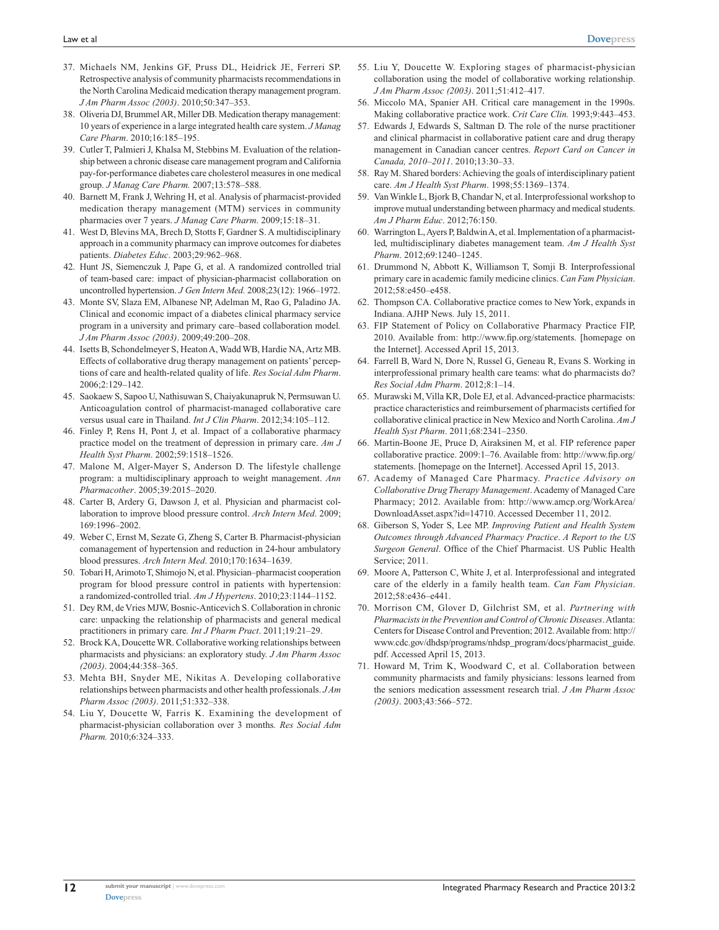- 37. Michaels NM, Jenkins GF, Pruss DL, Heidrick JE, Ferreri SP. Retrospective analysis of community pharmacists recommendations in the North Carolina Medicaid medication therapy management program. *J Am Pharm Assoc (2003)*. 2010;50:347–353.
- 38. Oliveria DJ, Brummel AR, Miller DB. Medication therapy management: 10 years of experience in a large integrated health care system. *J Manag Care Pharm*. 2010;16:185–195.
- 39. Cutler T, Palmieri J, Khalsa M, Stebbins M. Evaluation of the relationship between a chronic disease care management program and California pay-for-performance diabetes care cholesterol measures in one medical group. *J Manag Care Pharm.* 2007;13:578–588.
- 40. Barnett M, Frank J, Wehring H, et al. Analysis of pharmacist-provided medication therapy management (MTM) services in community pharmacies over 7 years. *J Manag Care Pharm*. 2009;15:18–31.
- 41. West D, Blevins MA, Brech D, Stotts F, Gardner S. A multidisciplinary approach in a community pharmacy can improve outcomes for diabetes patients. *Diabetes Educ*. 2003;29:962–968.
- 42. Hunt JS, Siemenczuk J, Pape G, et al. A randomized controlled trial of team-based care: impact of physician-pharmacist collaboration on uncontrolled hypertension. *J Gen Intern Med.* 2008;23(12): 1966–1972.
- 43. Monte SV, Slaza EM, Albanese NP, Adelman M, Rao G, Paladino JA. Clinical and economic impact of a diabetes clinical pharmacy service program in a university and primary care–based collaboration model*. J Am Pharm Assoc (2003)*. 2009;49:200–208.
- 44. Isetts B, Schondelmeyer S, Heaton A, Wadd WB, Hardie NA, Artz MB. Effects of collaborative drug therapy management on patients' perceptions of care and health-related quality of life. *Res Social Adm Pharm*. 2006;2:129–142.
- 45. Saokaew S, Sapoo U, Nathisuwan S, Chaiyakunapruk N, Permsuwan U. Anticoagulation control of pharmacist-managed collaborative care versus usual care in Thailand. *Int J Clin Pharm*. 2012;34:105–112.
- 46. Finley P, Rens H, Pont J, et al. Impact of a collaborative pharmacy practice model on the treatment of depression in primary care. *Am J Health Syst Pharm*. 2002;59:1518–1526.
- 47. Malone M, Alger-Mayer S, Anderson D. The lifestyle challenge program: a multidisciplinary approach to weight management. *Ann Pharmacother*. 2005;39:2015–2020.
- 48. Carter B, Ardery G, Dawson J, et al. Physician and pharmacist collaboration to improve blood pressure control. *Arch Intern Med*. 2009; 169:1996–2002.
- 49. Weber C, Ernst M, Sezate G, Zheng S, Carter B. Pharmacist-physician comanagement of hypertension and reduction in 24-hour ambulatory blood pressures. *Arch Intern Med*. 2010;170:1634–1639.
- 50. Tobari H, Arimoto T, Shimojo N, et al. Physician–pharmacist cooperation program for blood pressure control in patients with hypertension: a randomized-controlled trial. *Am J Hypertens*. 2010;23:1144–1152.
- 51. Dey RM, de Vries MJW, Bosnic-Anticevich S. Collaboration in chronic care: unpacking the relationship of pharmacists and general medical practitioners in primary care*. Int J Pharm Pract*. 2011;19:21–29.
- 52. Brock KA, Doucette WR. Collaborative working relationships between pharmacists and physicians: an exploratory study. *J Am Pharm Assoc (2003)*. 2004;44:358–365.
- 53. Mehta BH, Snyder ME, Nikitas A. Developing collaborative relationships between pharmacists and other health professionals. *J Am Pharm Assoc (2003)*. 2011;51:332–338.
- 54. Liu Y, Doucette W, Farris K. Examining the development of pharmacist-physician collaboration over 3 months*. Res Social Adm Pharm.* 2010;6:324–333.
- 55. Liu Y, Doucette W. Exploring stages of pharmacist-physician collaboration using the model of collaborative working relationship. *J Am Pharm Assoc (2003)*. 2011;51:412–417.
- 56. Miccolo MA, Spanier AH. Critical care management in the 1990s. Making collaborative practice work. *Crit Care Clin.* 1993;9:443–453.
- 57. Edwards J, Edwards S, Saltman D. The role of the nurse practitioner and clinical pharmacist in collaborative patient care and drug therapy management in Canadian cancer centres. *Report Card on Cancer in Canada, 2010–2011*. 2010;13:30–33.
- 58. Ray M. Shared borders: Achieving the goals of interdisciplinary patient care. *Am J Health Syst Pharm*. 1998;55:1369–1374.
- 59. Van Winkle L, Bjork B, Chandar N, et al. Interprofessional workshop to improve mutual understanding between pharmacy and medical students. *Am J Pharm Educ*. 2012;76:150.
- 60. Warrington L, Ayers P, Baldwin A, et al. Implementation of a pharmacistled, multidisciplinary diabetes management team. *Am J Health Syst Pharm*. 2012;69:1240–1245.
- 61. Drummond N, Abbott K, Williamson T, Somji B. Interprofessional primary care in academic family medicine clinics. *Can Fam Physician*. 2012;58:e450–e458.
- 62. Thompson CA. Collaborative practice comes to New York, expands in Indiana. AJHP News. July 15, 2011.
- 63. FIP Statement of Policy on Collaborative Pharmacy Practice FIP, 2010. Available from: http://[www.fip.org/statements](http://www.fip.org/statements). [homepage on the Internet]. Accessed April 15, 2013.
- 64. Farrell B, Ward N, Dore N, Russel G, Geneau R, Evans S. Working in interprofessional primary health care teams: what do pharmacists do? *Res Social Adm Pharm*. 2012;8:1–14.
- 65. Murawski M, Villa KR, Dole EJ, et al. Advanced-practice pharmacists: practice characteristics and reimbursement of pharmacists certified for collaborative clinical practice in New Mexico and North Carolina. *Am J Health Syst Pharm*. 2011;68:2341–2350.
- 66. Martin-Boone JE, Pruce D, Airaksinen M, et al. FIP reference paper collaborative practice. 2009:1–76. Available from: http:/[/www.fip.org/](http://www.fip.org/�statements) [statements](http://www.fip.org/�statements). [homepage on the Internet]. Accessed April 15, 2013.
- 67. Academy of Managed Care Pharmacy. *Practice Advisory on Collaborative Drug Therapy Management*. Academy of Managed Care Pharmacy; 2012. Available from: [http://www.amcp.org/WorkArea/](http://www.amcp.org/WorkArea/DownloadAsset.aspx?id=14710) [DownloadAsset.aspx?id](http://www.amcp.org/WorkArea/DownloadAsset.aspx?id=14710)=14710. Accessed December 11, 2012.
- 68. Giberson S, Yoder S, Lee MP. *Improving Patient and Health System Outcomes through Advanced Pharmacy Practice*. *A Report to the US Surgeon General*. Office of the Chief Pharmacist. US Public Health Service; 2011.
- 69. Moore A, Patterson C, White J, et al. Interprofessional and integrated care of the elderly in a family health team. *Can Fam Physician*. 2012;58:e436–e441.
- 70. Morrison CM, Glover D, Gilchrist SM, et al. *Partnering with Pharmacists in the Prevention and Control of Chronic Diseases*. Atlanta: Centers for Disease Control and Prevention; 2012. Available from: http:// [www.cdc.gov/dhdsp/programs/nhdsp\\_program/docs/pharmacist\\_guide.](http://www.cdc.gov/dhdsp/programs/nhdsp_program/docs/pharmacist_guide.pdf) [pdf](http://www.cdc.gov/dhdsp/programs/nhdsp_program/docs/pharmacist_guide.pdf). Accessed April 15, 2013.
- 71. Howard M, Trim K, Woodward C, et al. Collaboration between community pharmacists and family physicians: lessons learned from the seniors medication assessment research trial. *J Am Pharm Assoc (2003)*. 2003;43:566–572.

**12**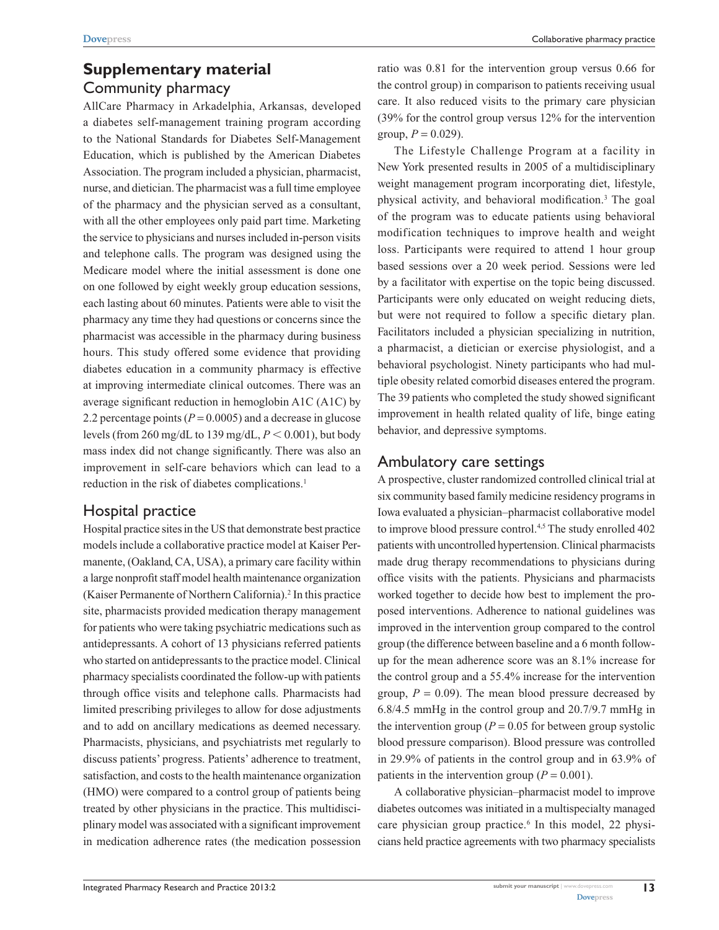# **Supplementary material** Community pharmacy

AllCare Pharmacy in Arkadelphia, Arkansas, developed a diabetes self-management training program according to the National Standards for Diabetes Self-Management Education, which is published by the American Diabetes Association. The program included a physician, pharmacist, nurse, and dietician. The pharmacist was a full time employee of the pharmacy and the physician served as a consultant, with all the other employees only paid part time. Marketing the service to physicians and nurses included in-person visits and telephone calls. The program was designed using the Medicare model where the initial assessment is done one on one followed by eight weekly group education sessions, each lasting about 60 minutes. Patients were able to visit the pharmacy any time they had questions or concerns since the pharmacist was accessible in the pharmacy during business hours. This study offered some evidence that providing diabetes education in a community pharmacy is effective at improving intermediate clinical outcomes. There was an average significant reduction in hemoglobin A1C (A1C) by 2.2 percentage points  $(P = 0.0005)$  and a decrease in glucose levels (from 260 mg/dL to 139 mg/dL,  $P < 0.001$ ), but body mass index did not change significantly. There was also an improvement in self-care behaviors which can lead to a reduction in the risk of diabetes complications.<sup>1</sup>

# Hospital practice

Hospital practice sites in the US that demonstrate best practice models include a collaborative practice model at Kaiser Permanente, (Oakland, CA, USA), a primary care facility within a large nonprofit staff model health maintenance organization (Kaiser Permanente of Northern California).<sup>2</sup> In this practice site, pharmacists provided medication therapy management for patients who were taking psychiatric medications such as antidepressants. A cohort of 13 physicians referred patients who started on antidepressants to the practice model. Clinical pharmacy specialists coordinated the follow-up with patients through office visits and telephone calls. Pharmacists had limited prescribing privileges to allow for dose adjustments and to add on ancillary medications as deemed necessary. Pharmacists, physicians, and psychiatrists met regularly to discuss patients' progress. Patients' adherence to treatment, satisfaction, and costs to the health maintenance organization (HMO) were compared to a control group of patients being treated by other physicians in the practice. This multidisciplinary model was associated with a significant improvement in medication adherence rates (the medication possession

ratio was 0.81 for the intervention group versus 0.66 for the control group) in comparison to patients receiving usual care. It also reduced visits to the primary care physician (39% for the control group versus 12% for the intervention group,  $P = 0.029$ ).

The Lifestyle Challenge Program at a facility in New York presented results in 2005 of a multidisciplinary weight management program incorporating diet, lifestyle, physical activity, and behavioral modification.<sup>3</sup> The goal of the program was to educate patients using behavioral modification techniques to improve health and weight loss. Participants were required to attend 1 hour group based sessions over a 20 week period. Sessions were led by a facilitator with expertise on the topic being discussed. Participants were only educated on weight reducing diets, but were not required to follow a specific dietary plan. Facilitators included a physician specializing in nutrition, a pharmacist, a dietician or exercise physiologist, and a behavioral psychologist. Ninety participants who had multiple obesity related comorbid diseases entered the program. The 39 patients who completed the study showed significant improvement in health related quality of life, binge eating behavior, and depressive symptoms.

# Ambulatory care settings

A prospective, cluster randomized controlled clinical trial at six community based family medicine residency programs in Iowa evaluated a physician–pharmacist collaborative model to improve blood pressure control.<sup>4,5</sup> The study enrolled 402 patients with uncontrolled hypertension. Clinical pharmacists made drug therapy recommendations to physicians during office visits with the patients. Physicians and pharmacists worked together to decide how best to implement the proposed interventions. Adherence to national guidelines was improved in the intervention group compared to the control group (the difference between baseline and a 6 month followup for the mean adherence score was an 8.1% increase for the control group and a 55.4% increase for the intervention group,  $P = 0.09$ ). The mean blood pressure decreased by 6.8/4.5 mmHg in the control group and 20.7/9.7 mmHg in the intervention group ( $P = 0.05$  for between group systolic blood pressure comparison). Blood pressure was controlled in 29.9% of patients in the control group and in 63.9% of patients in the intervention group  $(P = 0.001)$ .

A collaborative physician–pharmacist model to improve diabetes outcomes was initiated in a multispecialty managed care physician group practice.<sup>6</sup> In this model, 22 physicians held practice agreements with two pharmacy specialists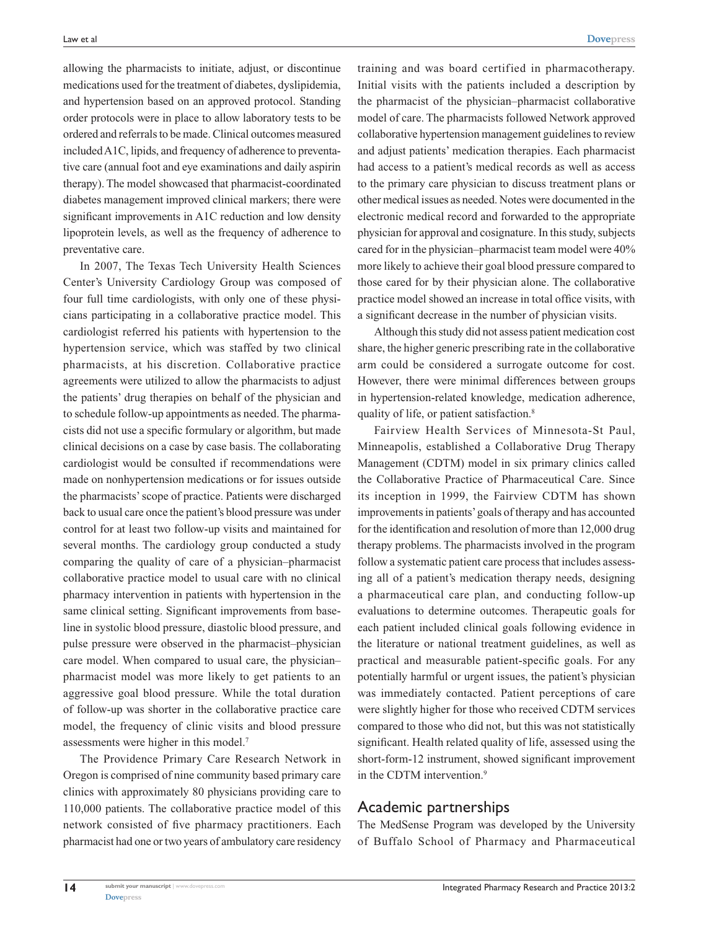allowing the pharmacists to initiate, adjust, or discontinue medications used for the treatment of diabetes, dyslipidemia, and hypertension based on an approved protocol. Standing order protocols were in place to allow laboratory tests to be ordered and referrals to be made. Clinical outcomes measured included A1C, lipids, and frequency of adherence to preventative care (annual foot and eye examinations and daily aspirin therapy). The model showcased that pharmacist-coordinated diabetes management improved clinical markers; there were significant improvements in A1C reduction and low density lipoprotein levels, as well as the frequency of adherence to preventative care.

In 2007, The Texas Tech University Health Sciences Center's University Cardiology Group was composed of four full time cardiologists, with only one of these physicians participating in a collaborative practice model. This cardiologist referred his patients with hypertension to the hypertension service, which was staffed by two clinical pharmacists, at his discretion. Collaborative practice agreements were utilized to allow the pharmacists to adjust the patients' drug therapies on behalf of the physician and to schedule follow-up appointments as needed. The pharmacists did not use a specific formulary or algorithm, but made clinical decisions on a case by case basis. The collaborating cardiologist would be consulted if recommendations were made on nonhypertension medications or for issues outside the pharmacists' scope of practice. Patients were discharged back to usual care once the patient's blood pressure was under control for at least two follow-up visits and maintained for several months. The cardiology group conducted a study comparing the quality of care of a physician–pharmacist collaborative practice model to usual care with no clinical pharmacy intervention in patients with hypertension in the same clinical setting. Significant improvements from baseline in systolic blood pressure, diastolic blood pressure, and pulse pressure were observed in the pharmacist–physician care model. When compared to usual care, the physician– pharmacist model was more likely to get patients to an aggressive goal blood pressure. While the total duration of follow-up was shorter in the collaborative practice care model, the frequency of clinic visits and blood pressure assessments were higher in this model.7

The Providence Primary Care Research Network in Oregon is comprised of nine community based primary care clinics with approximately 80 physicians providing care to 110,000 patients. The collaborative practice model of this network consisted of five pharmacy practitioners. Each pharmacist had one or two years of ambulatory care residency training and was board certified in pharmacotherapy. Initial visits with the patients included a description by the pharmacist of the physician–pharmacist collaborative model of care. The pharmacists followed Network approved collaborative hypertension management guidelines to review and adjust patients' medication therapies. Each pharmacist had access to a patient's medical records as well as access to the primary care physician to discuss treatment plans or other medical issues as needed. Notes were documented in the electronic medical record and forwarded to the appropriate physician for approval and cosignature. In this study, subjects cared for in the physician–pharmacist team model were 40% more likely to achieve their goal blood pressure compared to those cared for by their physician alone. The collaborative practice model showed an increase in total office visits, with a significant decrease in the number of physician visits.

Although this study did not assess patient medication cost share, the higher generic prescribing rate in the collaborative arm could be considered a surrogate outcome for cost. However, there were minimal differences between groups in hypertension-related knowledge, medication adherence, quality of life, or patient satisfaction.8

Fairview Health Services of Minnesota-St Paul, Minneapolis, established a Collaborative Drug Therapy Management (CDTM) model in six primary clinics called the Collaborative Practice of Pharmaceutical Care. Since its inception in 1999, the Fairview CDTM has shown improvements in patients' goals of therapy and has accounted for the identification and resolution of more than 12,000 drug therapy problems. The pharmacists involved in the program follow a systematic patient care process that includes assessing all of a patient's medication therapy needs, designing a pharmaceutical care plan, and conducting follow-up evaluations to determine outcomes. Therapeutic goals for each patient included clinical goals following evidence in the literature or national treatment guidelines, as well as practical and measurable patient-specific goals. For any potentially harmful or urgent issues, the patient's physician was immediately contacted. Patient perceptions of care were slightly higher for those who received CDTM services compared to those who did not, but this was not statistically significant. Health related quality of life, assessed using the short-form-12 instrument, showed significant improvement in the CDTM intervention.<sup>9</sup>

#### Academic partnerships

The MedSense Program was developed by the University of Buffalo School of Pharmacy and Pharmaceutical

**14**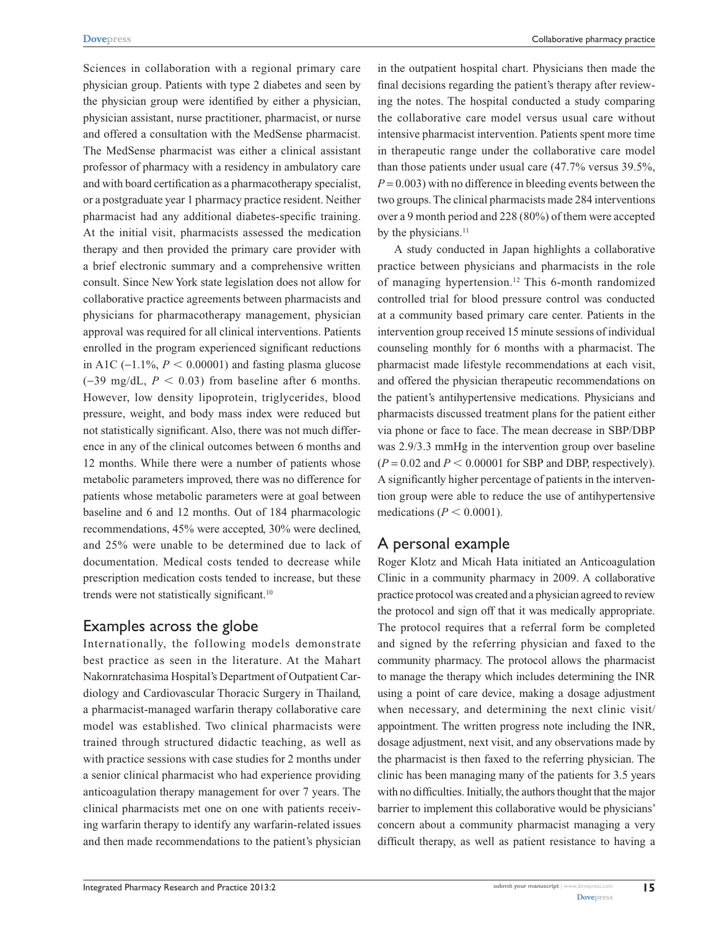Sciences in collaboration with a regional primary care physician group. Patients with type 2 diabetes and seen by the physician group were identified by either a physician, physician assistant, nurse practitioner, pharmacist, or nurse and offered a consultation with the MedSense pharmacist. The MedSense pharmacist was either a clinical assistant professor of pharmacy with a residency in ambulatory care and with board certification as a pharmacotherapy specialist, or a postgraduate year 1 pharmacy practice resident. Neither pharmacist had any additional diabetes-specific training. At the initial visit, pharmacists assessed the medication therapy and then provided the primary care provider with a brief electronic summary and a comprehensive written consult. Since New York state legislation does not allow for collaborative practice agreements between pharmacists and physicians for pharmacotherapy management, physician approval was required for all clinical interventions. Patients enrolled in the program experienced significant reductions in A1C  $(-1.1\%, P < 0.00001)$  and fasting plasma glucose  $(-39 \text{ mg/dL}, P < 0.03)$  from baseline after 6 months. However, low density lipoprotein, triglycerides, blood pressure, weight, and body mass index were reduced but not statistically significant. Also, there was not much difference in any of the clinical outcomes between 6 months and 12 months. While there were a number of patients whose metabolic parameters improved, there was no difference for patients whose metabolic parameters were at goal between baseline and 6 and 12 months. Out of 184 pharmacologic recommendations, 45% were accepted, 30% were declined, and 25% were unable to be determined due to lack of documentation. Medical costs tended to decrease while prescription medication costs tended to increase, but these trends were not statistically significant.<sup>10</sup>

#### Examples across the globe

Internationally, the following models demonstrate best practice as seen in the literature. At the Mahart Nakornratchasima Hospital's Department of Outpatient Cardiology and Cardiovascular Thoracic Surgery in Thailand, a pharmacist-managed warfarin therapy collaborative care model was established. Two clinical pharmacists were trained through structured didactic teaching, as well as with practice sessions with case studies for 2 months under a senior clinical pharmacist who had experience providing anticoagulation therapy management for over 7 years. The clinical pharmacists met one on one with patients receiving warfarin therapy to identify any warfarin-related issues and then made recommendations to the patient's physician in the outpatient hospital chart. Physicians then made the final decisions regarding the patient's therapy after reviewing the notes. The hospital conducted a study comparing the collaborative care model versus usual care without intensive pharmacist intervention. Patients spent more time in therapeutic range under the collaborative care model than those patients under usual care (47.7% versus 39.5%,  $P = 0.003$ ) with no difference in bleeding events between the two groups. The clinical pharmacists made 284 interventions over a 9 month period and 228 (80%) of them were accepted by the physicians.<sup>11</sup>

A study conducted in Japan highlights a collaborative practice between physicians and pharmacists in the role of managing hypertension.12 This 6-month randomized controlled trial for blood pressure control was conducted at a community based primary care center. Patients in the intervention group received 15 minute sessions of individual counseling monthly for 6 months with a pharmacist. The pharmacist made lifestyle recommendations at each visit, and offered the physician therapeutic recommendations on the patient's antihypertensive medications. Physicians and pharmacists discussed treatment plans for the patient either via phone or face to face. The mean decrease in SBP/DBP was 2.9/3.3 mmHg in the intervention group over baseline  $(P = 0.02$  and  $P < 0.00001$  for SBP and DBP, respectively). A significantly higher percentage of patients in the intervention group were able to reduce the use of antihypertensive medications ( $P < 0.0001$ ).

#### A personal example

Roger Klotz and Micah Hata initiated an Anticoagulation Clinic in a community pharmacy in 2009. A collaborative practice protocol was created and a physician agreed to review the protocol and sign off that it was medically appropriate. The protocol requires that a referral form be completed and signed by the referring physician and faxed to the community pharmacy. The protocol allows the pharmacist to manage the therapy which includes determining the INR using a point of care device, making a dosage adjustment when necessary, and determining the next clinic visit/ appointment. The written progress note including the INR, dosage adjustment, next visit, and any observations made by the pharmacist is then faxed to the referring physician. The clinic has been managing many of the patients for 3.5 years with no difficulties. Initially, the authors thought that the major barrier to implement this collaborative would be physicians' concern about a community pharmacist managing a very difficult therapy, as well as patient resistance to having a